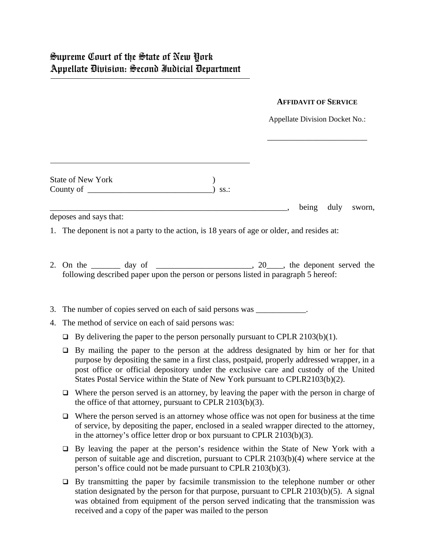## **AFFIDAVIT OF SERVICE**

Appellate Division Docket No.:

\_\_\_\_\_\_\_\_\_\_\_\_\_\_\_\_\_\_\_\_\_\_\_\_

| <b>State of New York</b> |          |  |
|--------------------------|----------|--|
| County of                | $)$ SS.: |  |

\_\_\_\_\_\_\_\_\_\_\_\_\_\_\_\_\_\_\_\_\_\_\_\_\_\_\_\_\_\_\_\_\_\_\_\_\_\_\_\_\_\_\_\_\_\_\_\_\_\_\_\_\_\_\_\_\_, being duly sworn,

deposes and says that:

1. The deponent is not a party to the action, is 18 years of age or older, and resides at:

2. On the  $\frac{1}{2}$  day of  $\frac{1}{2}$  day of  $\frac{1}{2}$  and  $\frac{1}{2}$  and  $\frac{1}{2}$  and  $\frac{1}{2}$  and  $\frac{1}{2}$  and  $\frac{1}{2}$  and  $\frac{1}{2}$  and  $\frac{1}{2}$  and  $\frac{1}{2}$  and  $\frac{1}{2}$  and  $\frac{1}{2}$  and  $\frac{1}{2}$  and  $\frac{1}{2}$ following described paper upon the person or persons listed in paragraph 5 hereof:

3. The number of copies served on each of said persons was  $\cdot$ .

- 4. The method of service on each of said persons was:
	- $\Box$  By delivering the paper to the person personally pursuant to CPLR 2103(b)(1).
	- $\Box$  By mailing the paper to the person at the address designated by him or her for that purpose by depositing the same in a first class, postpaid, properly addressed wrapper, in a post office or official depository under the exclusive care and custody of the United States Postal Service within the State of New York pursuant to CPLR2103(b)(2).
	- $\Box$  Where the person served is an attorney, by leaving the paper with the person in charge of the office of that attorney, pursuant to CPLR 2103(b)(3).
	- $\Box$  Where the person served is an attorney whose office was not open for business at the time of service, by depositing the paper, enclosed in a sealed wrapper directed to the attorney, in the attorney's office letter drop or box pursuant to CPLR 2103(b)(3).
	- □ By leaving the paper at the person's residence within the State of New York with a person of suitable age and discretion, pursuant to CPLR 2103(b)(4) where service at the person's office could not be made pursuant to CPLR 2103(b)(3).
	- $\Box$  By transmitting the paper by facsimile transmission to the telephone number or other station designated by the person for that purpose, pursuant to CPLR 2103(b)(5). A signal was obtained from equipment of the person served indicating that the transmission was received and a copy of the paper was mailed to the person